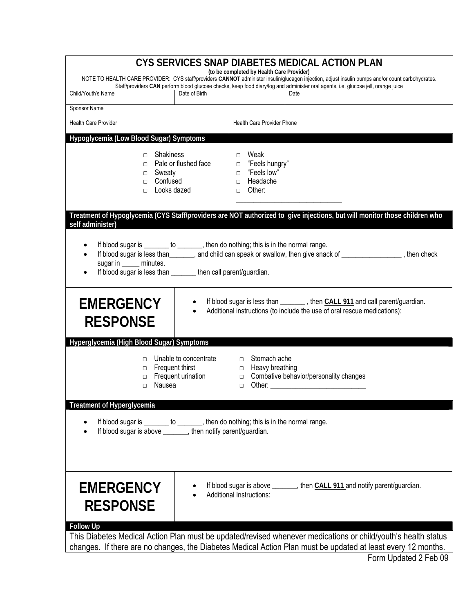| CYS SERVICES SNAP DIABETES MEDICAL ACTION PLAN<br>(to be completed by Health Care Provider)<br>NOTE TO HEALTH CARE PROVIDER: CYS staff/providers CANNOT administer insulin/glucagon injection, adjust insulin pumps and/or count carbohydrates.                                                            |                                             |                                                                                    |                                                                                                                                                            |  |
|------------------------------------------------------------------------------------------------------------------------------------------------------------------------------------------------------------------------------------------------------------------------------------------------------------|---------------------------------------------|------------------------------------------------------------------------------------|------------------------------------------------------------------------------------------------------------------------------------------------------------|--|
| Child/Youth's Name                                                                                                                                                                                                                                                                                         | Date of Birth                               |                                                                                    | Staff/providers CAN perform blood glucose checks, keep food diary/log and administer oral agents, i.e. glucose jell, orange juice<br>Date                  |  |
|                                                                                                                                                                                                                                                                                                            |                                             |                                                                                    |                                                                                                                                                            |  |
| Sponsor Name                                                                                                                                                                                                                                                                                               |                                             | Health Care Provider Phone                                                         |                                                                                                                                                            |  |
| Health Care Provider                                                                                                                                                                                                                                                                                       |                                             |                                                                                    |                                                                                                                                                            |  |
| Hypoglycemia (Low Blood Sugar) Symptoms                                                                                                                                                                                                                                                                    |                                             |                                                                                    |                                                                                                                                                            |  |
| Shakiness<br>$\Box$<br>$\Box$<br>□ Sweaty<br>Confused<br>$\Box$<br>Looks dazed<br>$\Box$                                                                                                                                                                                                                   | Pale or flushed face                        | Weak<br>$\Box$<br>□ "Feels hungry"<br>□ "Feels low"<br>□ Headache<br>$\Box$ Other: |                                                                                                                                                            |  |
| Treatment of Hypoglycemia (CYS Staff/providers are NOT authorized to give injections, but will monitor those children who<br>self administer)                                                                                                                                                              |                                             |                                                                                    |                                                                                                                                                            |  |
| If blood sugar is _______ to _______, then do nothing; this is in the normal range.<br>If blood sugar is less than _______, and child can speak or swallow, then give snack of ________________, then check<br>sugar in ______ minutes.<br>If blood sugar is less than ________ then call parent/guardian. |                                             |                                                                                    |                                                                                                                                                            |  |
| <b>EMERGENCY</b><br><b>RESPONSE</b><br>Hyperglycemia (High Blood Sugar) Symptoms                                                                                                                                                                                                                           |                                             |                                                                                    | If blood sugar is less than _________, then CALL 911 and call parent/guardian.<br>Additional instructions (to include the use of oral rescue medications): |  |
| Frequent thirst<br>п<br>□<br>Nausea<br>$\Box$                                                                                                                                                                                                                                                              | Unable to concentrate<br>Frequent urination | □ Stomach ache<br>□ Heavy breathing<br>$\Box$<br>$\Box$                            | Combative behavior/personality changes                                                                                                                     |  |
| <b>Treatment of Hyperglycemia</b><br>If blood sugar is ________ to _______, then do nothing; this is in the normal range.<br>If blood sugar is above _______, then notify parent/guardian.                                                                                                                 |                                             |                                                                                    |                                                                                                                                                            |  |
| <b>EMERGENCY</b><br><b>RESPONSE</b>                                                                                                                                                                                                                                                                        |                                             | Additional Instructions:                                                           | If blood sugar is above _______, then CALL 911 and notify parent/guardian.                                                                                 |  |
| <b>Follow Up</b><br>This Diabetes Medical Action Plan must be updated/revised whenever medications or child/youth's health status<br>changes. If there are no changes, the Diabetes Medical Action Plan must be updated at least every 12 months.                                                          |                                             |                                                                                    |                                                                                                                                                            |  |